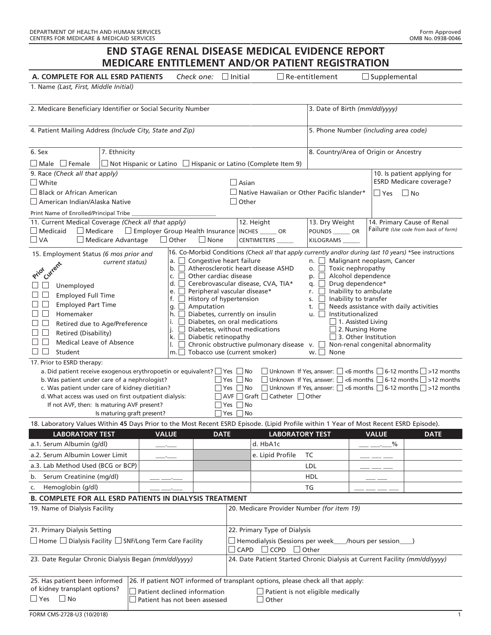# **END STAGE RENAL DISEASE MEDICAL EVIDENCE REPORT MEDICARE ENTITLEMENT AND/OR PATIENT REGISTRATION**

**A. COMPLETE FOR ALL ESRD PATIENTS** *Check one:* □ Initial □ Re-entitlement □ Supplemental

1. Name *(Last, First, Middle Initial)*

| 2. Medicare Beneficiary Identifier or Social Security Number                                                                                                                                                                                                                                                                                                                                                                                                                                                                                                                                                                                                                                                                                                                                                                                                                                                                                                                                                                                                                                                                                                                                     |                           |              |              |                                                                                                         |                                                                                                                                        |                                                                                                                                                                                                                                                                                                                                                                                                                                                                                                                                                                                                                                                                                                                                                                                                                                                                                                                             | 3. Date of Birth (mm/dd/yyyy)         |           |                                                                    |                                |
|--------------------------------------------------------------------------------------------------------------------------------------------------------------------------------------------------------------------------------------------------------------------------------------------------------------------------------------------------------------------------------------------------------------------------------------------------------------------------------------------------------------------------------------------------------------------------------------------------------------------------------------------------------------------------------------------------------------------------------------------------------------------------------------------------------------------------------------------------------------------------------------------------------------------------------------------------------------------------------------------------------------------------------------------------------------------------------------------------------------------------------------------------------------------------------------------------|---------------------------|--------------|--------------|---------------------------------------------------------------------------------------------------------|----------------------------------------------------------------------------------------------------------------------------------------|-----------------------------------------------------------------------------------------------------------------------------------------------------------------------------------------------------------------------------------------------------------------------------------------------------------------------------------------------------------------------------------------------------------------------------------------------------------------------------------------------------------------------------------------------------------------------------------------------------------------------------------------------------------------------------------------------------------------------------------------------------------------------------------------------------------------------------------------------------------------------------------------------------------------------------|---------------------------------------|-----------|--------------------------------------------------------------------|--------------------------------|
|                                                                                                                                                                                                                                                                                                                                                                                                                                                                                                                                                                                                                                                                                                                                                                                                                                                                                                                                                                                                                                                                                                                                                                                                  |                           |              |              |                                                                                                         |                                                                                                                                        |                                                                                                                                                                                                                                                                                                                                                                                                                                                                                                                                                                                                                                                                                                                                                                                                                                                                                                                             |                                       |           |                                                                    |                                |
| 4. Patient Mailing Address (Include City, State and Zip)                                                                                                                                                                                                                                                                                                                                                                                                                                                                                                                                                                                                                                                                                                                                                                                                                                                                                                                                                                                                                                                                                                                                         |                           |              |              |                                                                                                         |                                                                                                                                        |                                                                                                                                                                                                                                                                                                                                                                                                                                                                                                                                                                                                                                                                                                                                                                                                                                                                                                                             | 5. Phone Number (including area code) |           |                                                                    |                                |
| 6. Sex<br>7. Ethnicity                                                                                                                                                                                                                                                                                                                                                                                                                                                                                                                                                                                                                                                                                                                                                                                                                                                                                                                                                                                                                                                                                                                                                                           |                           |              |              |                                                                                                         | 8. Country/Area of Origin or Ancestry                                                                                                  |                                                                                                                                                                                                                                                                                                                                                                                                                                                                                                                                                                                                                                                                                                                                                                                                                                                                                                                             |                                       |           |                                                                    |                                |
| $\Box$ Male $\Box$ Female                                                                                                                                                                                                                                                                                                                                                                                                                                                                                                                                                                                                                                                                                                                                                                                                                                                                                                                                                                                                                                                                                                                                                                        |                           |              |              |                                                                                                         |                                                                                                                                        | $\Box$ Not Hispanic or Latino $\Box$ Hispanic or Latino (Complete Item 9)                                                                                                                                                                                                                                                                                                                                                                                                                                                                                                                                                                                                                                                                                                                                                                                                                                                   |                                       |           |                                                                    |                                |
| 9. Race (Check all that apply)                                                                                                                                                                                                                                                                                                                                                                                                                                                                                                                                                                                                                                                                                                                                                                                                                                                                                                                                                                                                                                                                                                                                                                   |                           |              |              |                                                                                                         |                                                                                                                                        |                                                                                                                                                                                                                                                                                                                                                                                                                                                                                                                                                                                                                                                                                                                                                                                                                                                                                                                             |                                       |           |                                                                    | 10. Is patient applying for    |
| $\Box$ White                                                                                                                                                                                                                                                                                                                                                                                                                                                                                                                                                                                                                                                                                                                                                                                                                                                                                                                                                                                                                                                                                                                                                                                     |                           |              |              |                                                                                                         |                                                                                                                                        | $\Box$ Asian                                                                                                                                                                                                                                                                                                                                                                                                                                                                                                                                                                                                                                                                                                                                                                                                                                                                                                                |                                       |           |                                                                    | <b>ESRD Medicare coverage?</b> |
| $\Box$ Black or African American                                                                                                                                                                                                                                                                                                                                                                                                                                                                                                                                                                                                                                                                                                                                                                                                                                                                                                                                                                                                                                                                                                                                                                 |                           |              |              |                                                                                                         |                                                                                                                                        | $\square$ Native Hawaiian or Other Pacific Islander*<br>$\Box$ Yes<br>$\Box$ No                                                                                                                                                                                                                                                                                                                                                                                                                                                                                                                                                                                                                                                                                                                                                                                                                                             |                                       |           |                                                                    |                                |
| $\Box$ Other<br>□ American Indian/Alaska Native                                                                                                                                                                                                                                                                                                                                                                                                                                                                                                                                                                                                                                                                                                                                                                                                                                                                                                                                                                                                                                                                                                                                                  |                           |              |              |                                                                                                         |                                                                                                                                        |                                                                                                                                                                                                                                                                                                                                                                                                                                                                                                                                                                                                                                                                                                                                                                                                                                                                                                                             |                                       |           |                                                                    |                                |
| Print Name of Enrolled/Principal Tribe<br>11. Current Medical Coverage (Check all that apply)                                                                                                                                                                                                                                                                                                                                                                                                                                                                                                                                                                                                                                                                                                                                                                                                                                                                                                                                                                                                                                                                                                    |                           |              |              |                                                                                                         |                                                                                                                                        |                                                                                                                                                                                                                                                                                                                                                                                                                                                                                                                                                                                                                                                                                                                                                                                                                                                                                                                             |                                       |           |                                                                    |                                |
| $\Box$ Medicaid                                                                                                                                                                                                                                                                                                                                                                                                                                                                                                                                                                                                                                                                                                                                                                                                                                                                                                                                                                                                                                                                                                                                                                                  |                           |              |              |                                                                                                         |                                                                                                                                        | 12. Height<br>13. Dry Weight<br>$\Box$ Medicare $\Box$ Employer Group Health Insurance   INCHES ______ OR<br>POUNDS ______ OR                                                                                                                                                                                                                                                                                                                                                                                                                                                                                                                                                                                                                                                                                                                                                                                               |                                       |           | 14. Primary Cause of Renal<br>Failure (Use code from back of form) |                                |
| $\square$ VA                                                                                                                                                                                                                                                                                                                                                                                                                                                                                                                                                                                                                                                                                                                                                                                                                                                                                                                                                                                                                                                                                                                                                                                     | $\Box$ Medicare Advantage |              | $\Box$ Other | $\Box$ None                                                                                             |                                                                                                                                        | <b>CENTIMETERS</b>                                                                                                                                                                                                                                                                                                                                                                                                                                                                                                                                                                                                                                                                                                                                                                                                                                                                                                          |                                       | KILOGRAMS |                                                                    |                                |
| 15. Employment Status (6 mos prior and<br>$\Box$ Congestive heart failure<br>a.<br>current status)<br>Prior Current<br>□ Atherosclerotic heart disease ASHD<br>b.<br>Other cardiac disease<br>$c. \parallel \cdot \cdot$<br>Cerebrovascular disease, CVA, TIA*<br>d.<br>$\Box$ $\Box$<br>Unemployed<br>Peripheral vascular disease*<br>e. $\vert \ \vert$<br><b>Employed Full Time</b><br>$\Box$ History of hypertension<br>f.<br><b>Employed Part Time</b><br>$\Box$ Amputation<br>q.<br>$\Box$ Diabetes, currently on insulin<br>Homemaker<br>h.<br>Diabetes, on oral medications<br>i.<br>Retired due to Age/Preference<br>j.<br>Diabetes, without medications<br>Retired (Disability)<br>$\Box$ Diabetic retinopathy<br>k.<br>Medical Leave of Absence<br>I.<br>$\Box$<br>$\perp$<br>Student<br>$m.$ Tobacco use (current smoker)<br>17. Prior to ESRD therapy:<br>a. Did patient receive exogenous erythropoetin or equivalent? $\Box$ Yes $\Box$ No<br>b. Was patient under care of a nephrologist?<br>c. Was patient under care of kidney dietitian?<br>d. What access was used on first outpatient dialysis:<br>If not AVF, then: Is maturing AVF present?<br>Is maturing graft present? |                           |              |              | $\Box$ Yes $\Box$ No<br>$\Box$ Yes $\Box$ No<br>$\Box$ Yes $\Box$ No<br>Yes No                          | 18. Laboratory Values Within 45 Days Prior to the Most Recent ESRD Episode. (Lipid Profile within 1 Year of Most Recent ESRD Episode). | 16. Co-Morbid Conditions (Check all that apply currently and/or during last 10 years) *See instructions<br>Malignant neoplasm, Cancer<br>n. $\perp$<br>Toxic nephropathy<br>$0.$    <br>Alcohol dependence<br>p. $\Box$<br>Drug dependence*<br>q. □<br>Inability to ambulate<br>r. [7]<br>Inability to transfer<br>$S. \Box$<br>Needs assistance with daily activities<br>t. 1<br>Institutionalized<br>$u.$    <br>$\Box$ 1. Assisted Living<br>$\Box$ 2. Nursing Home<br>3. Other Institution<br>$\Box$ Chronic obstructive pulmonary disease v. $\Box$<br>Non-renal congenital abnormality<br>None<br>W.<br>□ Unknown If Yes, answer: $\Box$ <6 months $\Box$ 6-12 months $\Box$ >12 months<br>□ Unknown If Yes, answer: $\Box$ <6 months $\Box$ 6-12 months $\Box$ >12 months<br>□ Unknown If Yes, answer: $\Box$ <6 months $\Box$ 6-12 months $\Box$ >12 months<br>$\Box$ AVF $\Box$ Graft $\Box$ Catheter $\Box$ Other |                                       |           |                                                                    |                                |
| <b>LABORATORY TEST</b>                                                                                                                                                                                                                                                                                                                                                                                                                                                                                                                                                                                                                                                                                                                                                                                                                                                                                                                                                                                                                                                                                                                                                                           |                           | <b>VALUE</b> |              | <b>DATE</b>                                                                                             |                                                                                                                                        | <b>LABORATORY TEST</b>                                                                                                                                                                                                                                                                                                                                                                                                                                                                                                                                                                                                                                                                                                                                                                                                                                                                                                      |                                       |           | <b>VALUE</b>                                                       | <b>DATE</b>                    |
| a.1. Serum Albumin (g/dl)                                                                                                                                                                                                                                                                                                                                                                                                                                                                                                                                                                                                                                                                                                                                                                                                                                                                                                                                                                                                                                                                                                                                                                        |                           |              |              |                                                                                                         |                                                                                                                                        | d. HbA1c                                                                                                                                                                                                                                                                                                                                                                                                                                                                                                                                                                                                                                                                                                                                                                                                                                                                                                                    |                                       |           | $\frac{0}{0}$                                                      |                                |
| a.2. Serum Albumin Lower Limit                                                                                                                                                                                                                                                                                                                                                                                                                                                                                                                                                                                                                                                                                                                                                                                                                                                                                                                                                                                                                                                                                                                                                                   |                           |              |              |                                                                                                         |                                                                                                                                        | e. Lipid Profile TC                                                                                                                                                                                                                                                                                                                                                                                                                                                                                                                                                                                                                                                                                                                                                                                                                                                                                                         |                                       |           |                                                                    |                                |
| a.3. Lab Method Used (BCG or BCP)                                                                                                                                                                                                                                                                                                                                                                                                                                                                                                                                                                                                                                                                                                                                                                                                                                                                                                                                                                                                                                                                                                                                                                |                           |              |              |                                                                                                         |                                                                                                                                        | LDL                                                                                                                                                                                                                                                                                                                                                                                                                                                                                                                                                                                                                                                                                                                                                                                                                                                                                                                         |                                       |           |                                                                    |                                |
| Serum Creatinine (mg/dl)<br>b.                                                                                                                                                                                                                                                                                                                                                                                                                                                                                                                                                                                                                                                                                                                                                                                                                                                                                                                                                                                                                                                                                                                                                                   |                           |              |              |                                                                                                         |                                                                                                                                        |                                                                                                                                                                                                                                                                                                                                                                                                                                                                                                                                                                                                                                                                                                                                                                                                                                                                                                                             | <b>HDL</b>                            |           |                                                                    |                                |
| Hemoglobin (g/dl)<br>c.                                                                                                                                                                                                                                                                                                                                                                                                                                                                                                                                                                                                                                                                                                                                                                                                                                                                                                                                                                                                                                                                                                                                                                          |                           |              |              |                                                                                                         | TG                                                                                                                                     |                                                                                                                                                                                                                                                                                                                                                                                                                                                                                                                                                                                                                                                                                                                                                                                                                                                                                                                             |                                       |           |                                                                    |                                |
| <b>B. COMPLETE FOR ALL ESRD PATIENTS IN DIALYSIS TREATMENT</b>                                                                                                                                                                                                                                                                                                                                                                                                                                                                                                                                                                                                                                                                                                                                                                                                                                                                                                                                                                                                                                                                                                                                   |                           |              |              |                                                                                                         |                                                                                                                                        |                                                                                                                                                                                                                                                                                                                                                                                                                                                                                                                                                                                                                                                                                                                                                                                                                                                                                                                             |                                       |           |                                                                    |                                |
| 19. Name of Dialysis Facility                                                                                                                                                                                                                                                                                                                                                                                                                                                                                                                                                                                                                                                                                                                                                                                                                                                                                                                                                                                                                                                                                                                                                                    |                           |              |              | 20. Medicare Provider Number (for item 19)                                                              |                                                                                                                                        |                                                                                                                                                                                                                                                                                                                                                                                                                                                                                                                                                                                                                                                                                                                                                                                                                                                                                                                             |                                       |           |                                                                    |                                |
| 21. Primary Dialysis Setting                                                                                                                                                                                                                                                                                                                                                                                                                                                                                                                                                                                                                                                                                                                                                                                                                                                                                                                                                                                                                                                                                                                                                                     |                           |              |              |                                                                                                         |                                                                                                                                        | 22. Primary Type of Dialysis                                                                                                                                                                                                                                                                                                                                                                                                                                                                                                                                                                                                                                                                                                                                                                                                                                                                                                |                                       |           |                                                                    |                                |
| $\Box$ Home $\Box$ Dialysis Facility $\Box$ SNF/Long Term Care Facility                                                                                                                                                                                                                                                                                                                                                                                                                                                                                                                                                                                                                                                                                                                                                                                                                                                                                                                                                                                                                                                                                                                          |                           |              |              | Hemodialysis (Sessions per week____/hours per session____)<br>$CAPD \quad \Box$ CCPD $\quad \Box$ Other |                                                                                                                                        |                                                                                                                                                                                                                                                                                                                                                                                                                                                                                                                                                                                                                                                                                                                                                                                                                                                                                                                             |                                       |           |                                                                    |                                |
| 23. Date Regular Chronic Dialysis Began (mm/dd/yyyy)                                                                                                                                                                                                                                                                                                                                                                                                                                                                                                                                                                                                                                                                                                                                                                                                                                                                                                                                                                                                                                                                                                                                             |                           |              |              |                                                                                                         |                                                                                                                                        | 24. Date Patient Started Chronic Dialysis at Current Facility (mm/dd/yyyy)                                                                                                                                                                                                                                                                                                                                                                                                                                                                                                                                                                                                                                                                                                                                                                                                                                                  |                                       |           |                                                                    |                                |
| 25. Has patient been informed<br>26. If patient NOT informed of transplant options, please check all that apply:                                                                                                                                                                                                                                                                                                                                                                                                                                                                                                                                                                                                                                                                                                                                                                                                                                                                                                                                                                                                                                                                                 |                           |              |              |                                                                                                         |                                                                                                                                        |                                                                                                                                                                                                                                                                                                                                                                                                                                                                                                                                                                                                                                                                                                                                                                                                                                                                                                                             |                                       |           |                                                                    |                                |
| of kidney transplant options?<br>Patient declined information                                                                                                                                                                                                                                                                                                                                                                                                                                                                                                                                                                                                                                                                                                                                                                                                                                                                                                                                                                                                                                                                                                                                    |                           |              |              | $\Box$ Patient is not eligible medically                                                                |                                                                                                                                        |                                                                                                                                                                                                                                                                                                                                                                                                                                                                                                                                                                                                                                                                                                                                                                                                                                                                                                                             |                                       |           |                                                                    |                                |
| $\square$ Yes<br>$\Box$ No<br>Patient has not been assessed<br>$\Box$ Other                                                                                                                                                                                                                                                                                                                                                                                                                                                                                                                                                                                                                                                                                                                                                                                                                                                                                                                                                                                                                                                                                                                      |                           |              |              |                                                                                                         |                                                                                                                                        |                                                                                                                                                                                                                                                                                                                                                                                                                                                                                                                                                                                                                                                                                                                                                                                                                                                                                                                             |                                       |           |                                                                    |                                |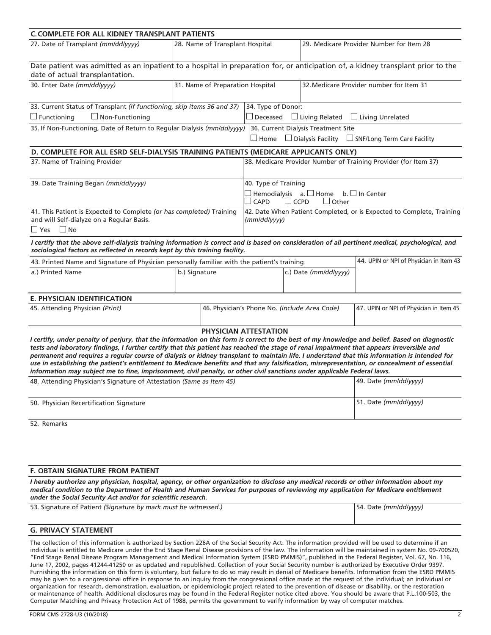| <b>C. COMPLETE FOR ALL KIDNEY TRANSPLANT PATIENTS</b>                                                                                                                                                                                                                                                                                                                                                                                                                                                                                                                                                                                                                                                                     |                                                                                                                                |  |                                                                 |                                          |                                         |  |
|---------------------------------------------------------------------------------------------------------------------------------------------------------------------------------------------------------------------------------------------------------------------------------------------------------------------------------------------------------------------------------------------------------------------------------------------------------------------------------------------------------------------------------------------------------------------------------------------------------------------------------------------------------------------------------------------------------------------------|--------------------------------------------------------------------------------------------------------------------------------|--|-----------------------------------------------------------------|------------------------------------------|-----------------------------------------|--|
| 27. Date of Transplant (mm/dd/yyyy)                                                                                                                                                                                                                                                                                                                                                                                                                                                                                                                                                                                                                                                                                       | 28. Name of Transplant Hospital                                                                                                |  |                                                                 | 29. Medicare Provider Number for Item 28 |                                         |  |
| Date patient was admitted as an inpatient to a hospital in preparation for, or anticipation of, a kidney transplant prior to the<br>date of actual transplantation.                                                                                                                                                                                                                                                                                                                                                                                                                                                                                                                                                       |                                                                                                                                |  |                                                                 |                                          |                                         |  |
| 30. Enter Date (mm/dd/yyyy)                                                                                                                                                                                                                                                                                                                                                                                                                                                                                                                                                                                                                                                                                               | 31. Name of Preparation Hospital                                                                                               |  |                                                                 | 32. Medicare Provider number for Item 31 |                                         |  |
| 33. Current Status of Transplant (if functioning, skip items 36 and 37)<br>$\Box$ Functioning<br>$\Box$ Non-Functioning                                                                                                                                                                                                                                                                                                                                                                                                                                                                                                                                                                                                   | 34. Type of Donor:<br>$\Box$ Deceased $\Box$ Living Related $\Box$ Living Unrelated                                            |  |                                                                 |                                          |                                         |  |
| 35. If Non-Functioning, Date of Return to Regular Dialysis (mm/dd/yyyy)                                                                                                                                                                                                                                                                                                                                                                                                                                                                                                                                                                                                                                                   | 36. Current Dialysis Treatment Site<br>$\Box$ Dialysis Facility $\Box$ SNF/Long Term Care Facility<br>$\Box$ Home              |  |                                                                 |                                          |                                         |  |
| D. COMPLETE FOR ALL ESRD SELF-DIALYSIS TRAINING PATIENTS (MEDICARE APPLICANTS ONLY)                                                                                                                                                                                                                                                                                                                                                                                                                                                                                                                                                                                                                                       |                                                                                                                                |  |                                                                 |                                          |                                         |  |
| 37. Name of Training Provider                                                                                                                                                                                                                                                                                                                                                                                                                                                                                                                                                                                                                                                                                             |                                                                                                                                |  | 38. Medicare Provider Number of Training Provider (for Item 37) |                                          |                                         |  |
| 39. Date Training Began (mm/dd/yyyy)                                                                                                                                                                                                                                                                                                                                                                                                                                                                                                                                                                                                                                                                                      | 40. Type of Training<br>$\square$ Hemodialysis a. $\square$ Home b. $\square$ In Center<br>CAPD<br>$\Box$ CCPD<br>$\Box$ Other |  |                                                                 |                                          |                                         |  |
| 41. This Patient is Expected to Complete (or has completed) Training<br>and will Self-dialyze on a Regular Basis.<br>$\Box$ Yes<br>$\Box$ No                                                                                                                                                                                                                                                                                                                                                                                                                                                                                                                                                                              | 42. Date When Patient Completed, or is Expected to Complete, Training<br>(mm/dd/yyyy)                                          |  |                                                                 |                                          |                                         |  |
| I certify that the above self-dialysis training information is correct and is based on consideration of all pertinent medical, psychological, and<br>sociological factors as reflected in records kept by this training facility.                                                                                                                                                                                                                                                                                                                                                                                                                                                                                         |                                                                                                                                |  |                                                                 |                                          |                                         |  |
| 43. Printed Name and Signature of Physician personally familiar with the patient's training                                                                                                                                                                                                                                                                                                                                                                                                                                                                                                                                                                                                                               |                                                                                                                                |  |                                                                 |                                          | 44. UPIN or NPI of Physician in Item 43 |  |
| a.) Printed Name                                                                                                                                                                                                                                                                                                                                                                                                                                                                                                                                                                                                                                                                                                          | b.) Signature                                                                                                                  |  |                                                                 | c.) Date (mm/dd/yyyy)                    |                                         |  |
| <b>E. PHYSICIAN IDENTIFICATION</b>                                                                                                                                                                                                                                                                                                                                                                                                                                                                                                                                                                                                                                                                                        |                                                                                                                                |  |                                                                 |                                          |                                         |  |
| 45. Attending Physician (Print)                                                                                                                                                                                                                                                                                                                                                                                                                                                                                                                                                                                                                                                                                           | 46. Physician's Phone No. (include Area Code)                                                                                  |  |                                                                 | 47. UPIN or NPI of Physician in Item 45  |                                         |  |
| I certify, under penalty of perjury, that the information on this form is correct to the best of my knowledge and belief. Based on diagnostic<br>tests and laboratory findings, I further certify that this patient has reached the stage of renal impairment that appears irreversible and<br>permanent and requires a regular course of dialysis or kidney transplant to maintain life. I understand that this information is intended for<br>use in establishing the patient's entitlement to Medicare benefits and that any falsification, misrepresentation, or concealment of essential<br>information may subject me to fine, imprisonment, civil penalty, or other civil sanctions under applicable Federal laws. | PHYSICIAN ATTESTATION                                                                                                          |  |                                                                 |                                          |                                         |  |
| 48. Attending Physician's Signature of Attestation (Same as Item 45)                                                                                                                                                                                                                                                                                                                                                                                                                                                                                                                                                                                                                                                      |                                                                                                                                |  |                                                                 |                                          | 49. Date (mm/dd/yyyy)                   |  |
| 50. Physician Recertification Signature                                                                                                                                                                                                                                                                                                                                                                                                                                                                                                                                                                                                                                                                                   |                                                                                                                                |  |                                                                 | 51. Date (mm/dd/yyyy)                    |                                         |  |
| 52. Remarks                                                                                                                                                                                                                                                                                                                                                                                                                                                                                                                                                                                                                                                                                                               |                                                                                                                                |  |                                                                 |                                          |                                         |  |

### **F. OBTAIN SIGNATURE FROM PATIENT**

*I hereby authorize any physician, hospital, agency, or other organization to disclose any medical records or other information about my medical condition to the Department of Health and Human Services for purposes of reviewing my application for Medicare entitlement under the Social Security Act and/or for scientific research.*

| 53. Signature of Patient (Signature by mark must be witnessed.) | 54. Date (mm/dd/yyyy) |  |  |  |  |
|-----------------------------------------------------------------|-----------------------|--|--|--|--|
|                                                                 |                       |  |  |  |  |

### **G. PRIVACY STATEMENT**

The collection of this information is authorized by Section 226A of the Social Security Act. The information provided will be used to determine if an individual is entitled to Medicare under the End Stage Renal Disease provisions of the law. The information will be maintained in system No. 09-700520, "End Stage Renal Disease Program Management and Medical Information System (ESRD PMMIS)", published in the Federal Register, Vol. 67, No. 116, June 17, 2002, pages 41244-41250 or as updated and republished. Collection of your Social Security number is authorized by Executive Order 9397. Furnishing the information on this form is voluntary, but failure to do so may result in denial of Medicare benefits. Information from the ESRD PMMIS may be given to a congressional office in response to an inquiry from the congressional office made at the request of the individual; an individual or organization for research, demonstration, evaluation, or epidemiologic project related to the prevention of disease or disability, or the restoration or maintenance of health. Additional disclosures may be found in the Federal Register notice cited above. You should be aware that P.L.100-503, the Computer Matching and Privacy Protection Act of 1988, permits the government to verify information by way of computer matches.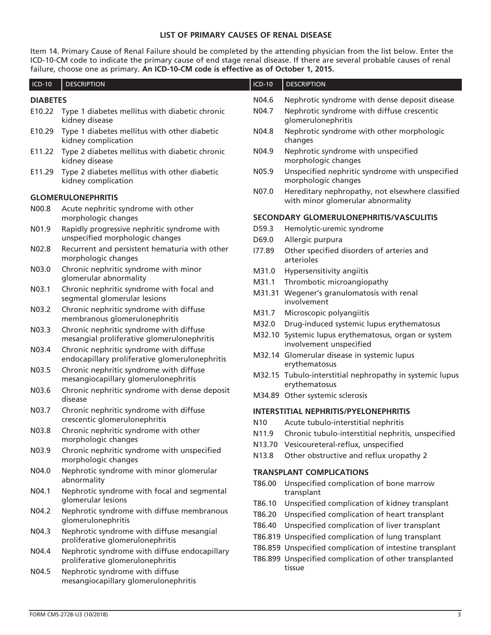## **LIST OF PRIMARY CAUSES OF RENAL DISEASE**

Item 14. Primary Cause of Renal Failure should be completed by the attending physician from the list below. Enter the ICD-10-CM code to indicate the primary cause of end stage renal disease. If there are several probable causes of renal failure, choose one as primary. **An ICD-10-CM code is effective as of October 1, 2015.**

| $ICD-10$        | <b>DESCRIPTION</b>                                                                        | $ICD-10$         | <b>DESCRIPTION</b>                                                                                                 |  |  |
|-----------------|-------------------------------------------------------------------------------------------|------------------|--------------------------------------------------------------------------------------------------------------------|--|--|
| <b>DIABETES</b> |                                                                                           | N04.6            | Nephrotic syndrome with dense deposit disease                                                                      |  |  |
| E10.22          | Type 1 diabetes mellitus with diabetic chronic<br>kidney disease                          | N04.7            | Nephrotic syndrome with diffuse crescentic<br>glomerulonephritis                                                   |  |  |
| E10.29          | Type 1 diabetes mellitus with other diabetic<br>kidney complication                       | N04.8            | Nephrotic syndrome with other morphologic<br>changes                                                               |  |  |
| E11.22          | Type 2 diabetes mellitus with diabetic chronic<br>kidney disease                          | N04.9            | Nephrotic syndrome with unspecified<br>morphologic changes                                                         |  |  |
| E11.29          | Type 2 diabetes mellitus with other diabetic<br>kidney complication                       | N05.9            | Unspecified nephritic syndrome with unspecified<br>morphologic changes                                             |  |  |
|                 | <b>GLOMERULONEPHRITIS</b>                                                                 | N07.0            | Hereditary nephropathy, not elsewhere classified<br>with minor glomerular abnormality                              |  |  |
| N00.8           | Acute nephritic syndrome with other<br>morphologic changes                                |                  | SECONDARY GLOMERULONEPHRITIS/VASCULITIS                                                                            |  |  |
| N01.9           | Rapidly progressive nephritic syndrome with                                               | D59.3            | Hemolytic-uremic syndrome                                                                                          |  |  |
|                 | unspecified morphologic changes                                                           | D69.0            | Allergic purpura                                                                                                   |  |  |
| N02.8           | Recurrent and persistent hematuria with other<br>morphologic changes                      | 177.89           | Other specified disorders of arteries and<br>arterioles                                                            |  |  |
| N03.0           | Chronic nephritic syndrome with minor                                                     | M31.0            | Hypersensitivity angiitis                                                                                          |  |  |
|                 | glomerular abnormality                                                                    | M31.1            | Thrombotic microangiopathy                                                                                         |  |  |
| N03.1           | Chronic nephritic syndrome with focal and<br>segmental glomerular lesions                 |                  | M31.31 Wegener's granulomatosis with renal<br>involvement                                                          |  |  |
| N03.2           | Chronic nephritic syndrome with diffuse                                                   | M31.7            | Microscopic polyangiitis                                                                                           |  |  |
|                 | membranous glomerulonephritis                                                             | M32.0            | Drug-induced systemic lupus erythematosus                                                                          |  |  |
| N03.3           | Chronic nephritic syndrome with diffuse<br>mesangial proliferative glomerulonephritis     |                  | M32.10 Systemic lupus erythematosus, organ or system<br>involvement unspecified                                    |  |  |
| N03.4           | Chronic nephritic syndrome with diffuse<br>endocapillary proliferative glomerulonephritis |                  | M32.14 Glomerular disease in systemic lupus<br>erythematosus                                                       |  |  |
| N03.5           | Chronic nephritic syndrome with diffuse<br>mesangiocapillary glomerulonephritis           |                  | M32.15 Tubulo-interstitial nephropathy in systemic lupus<br>erythematosus                                          |  |  |
| N03.6           | Chronic nephritic syndrome with dense deposit<br>disease                                  |                  | M34.89 Other systemic sclerosis                                                                                    |  |  |
| N03.7           | Chronic nephritic syndrome with diffuse                                                   |                  | <b>INTERSTITIAL NEPHRITIS/PYELONEPHRITIS</b>                                                                       |  |  |
|                 | crescentic glomerulonephritis                                                             | N <sub>10</sub>  | Acute tubulo-interstitial nephritis                                                                                |  |  |
| N03.8           | Chronic nephritic syndrome with other<br>morphologic changes                              |                  | N11.9 Chronic tubulo-interstitial nephritis, unspecified<br>N13.70 Vesicoureteral-reflux, unspecified              |  |  |
| N03.9           | Chronic nephritic syndrome with unspecified<br>morphologic changes                        | N13.8            | Other obstructive and reflux uropathy 2                                                                            |  |  |
| N04.0           | Nephrotic syndrome with minor glomerular<br>abnormality                                   | T86.00           | <b>TRANSPLANT COMPLICATIONS</b><br>Unspecified complication of bone marrow                                         |  |  |
| N04.1           | Nephrotic syndrome with focal and segmental<br>glomerular lesions                         |                  | transplant                                                                                                         |  |  |
| N04.2           | Nephrotic syndrome with diffuse membranous<br>glomerulonephritis                          | T86.10<br>T86.20 | Unspecified complication of kidney transplant<br>Unspecified complication of heart transplant                      |  |  |
| N04.3           | Nephrotic syndrome with diffuse mesangial<br>proliferative glomerulonephritis             | T86.40           | Unspecified complication of liver transplant<br>T86.819 Unspecified complication of lung transplant                |  |  |
| N04.4           | Nephrotic syndrome with diffuse endocapillary<br>proliferative glomerulonephritis         |                  | T86.859 Unspecified complication of intestine transplant<br>T86.899 Unspecified complication of other transplanted |  |  |
| N04.5           | Nephrotic syndrome with diffuse<br>mesangiocapillary glomerulonephritis                   |                  | tissue                                                                                                             |  |  |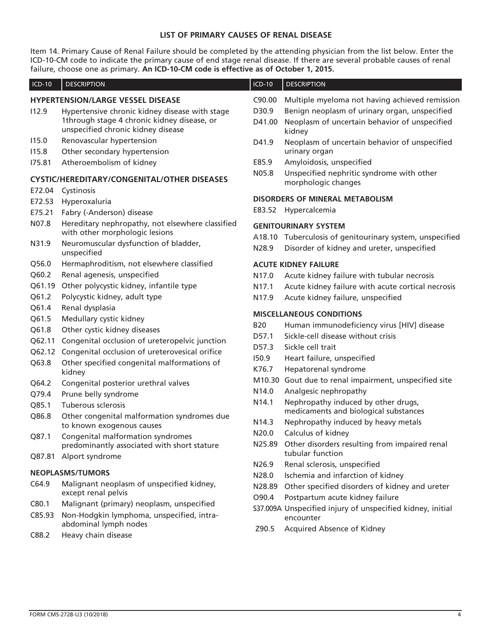## **LIST OF PRIMARY CAUSES OF RENAL DISEASE**

Item 14. Primary Cause of Renal Failure should be completed by the attending physician from the list below. Enter the ICD-10-CM code to indicate the primary cause of end stage renal disease. If there are several probable causes of renal failure, choose one as primary. **An ICD-10-CM code is effective as of October 1, 2015.**

| $ICD-10$                                           | <b>DESCRIPTION</b>                                                                                                                  | $ICD-10$            | <b>DESCRIPTION</b>                                                                                       |
|----------------------------------------------------|-------------------------------------------------------------------------------------------------------------------------------------|---------------------|----------------------------------------------------------------------------------------------------------|
|                                                    |                                                                                                                                     |                     |                                                                                                          |
|                                                    | <b>HYPERTENSION/LARGE VESSEL DISEASE</b>                                                                                            | C90.00              | Multiple myeloma not having achieved remission                                                           |
| 112.9                                              | Hypertensive chronic kidney disease with stage<br>1through stage 4 chronic kidney disease, or<br>unspecified chronic kidney disease | D30.9<br>D41.00     | Benign neoplasm of urinary organ, unspecified<br>Neoplasm of uncertain behavior of unspecified<br>kidney |
| 115.0                                              | Renovascular hypertension                                                                                                           | D41.9               | Neoplasm of uncertain behavior of unspecified                                                            |
| 115.8                                              | Other secondary hypertension                                                                                                        |                     | urinary organ                                                                                            |
| 175.81                                             | Atheroembolism of kidney                                                                                                            | E85.9               | Amyloidosis, unspecified                                                                                 |
| <b>CYSTIC/HEREDITARY/CONGENITAL/OTHER DISEASES</b> |                                                                                                                                     |                     | Unspecified nephritic syndrome with other<br>morphologic changes                                         |
| E72.04                                             | Cystinosis                                                                                                                          |                     | <b>DISORDERS OF MINERAL METABOLISM</b>                                                                   |
| E72.53                                             | Hyperoxaluria                                                                                                                       |                     | E83.52 Hypercalcemia                                                                                     |
| E75.21                                             | Fabry (-Anderson) disease                                                                                                           |                     |                                                                                                          |
| N07.8                                              | Hereditary nephropathy, not elsewhere classified<br>with other morphologic lesions                                                  |                     | <b>GENITOURINARY SYSTEM</b>                                                                              |
| N31.9                                              | Neuromuscular dysfunction of bladder,<br>unspecified                                                                                | N28.9               | A18.10 Tuberculosis of genitourinary system, unspecified<br>Disorder of kidney and ureter, unspecified   |
| Q56.0                                              | Hermaphroditism, not elsewhere classified                                                                                           |                     | <b>ACUTE KIDNEY FAILURE</b>                                                                              |
| Q60.2                                              | Renal agenesis, unspecified                                                                                                         | N <sub>17.0</sub>   | Acute kidney failure with tubular necrosis                                                               |
| Q61.19                                             | Other polycystic kidney, infantile type                                                                                             | N <sub>17.1</sub>   | Acute kidney failure with acute cortical necrosis                                                        |
| Q61.2                                              | Polycystic kidney, adult type                                                                                                       | N <sub>17.9</sub>   | Acute kidney failure, unspecified                                                                        |
| Q61.4                                              | Renal dysplasia                                                                                                                     |                     |                                                                                                          |
| Q61.5                                              | Medullary cystic kidney                                                                                                             |                     | <b>MISCELLANEOUS CONDITIONS</b>                                                                          |
| Q61.8                                              | Other cystic kidney diseases                                                                                                        | <b>B20</b><br>D57.1 | Human immunodeficiency virus [HIV] disease<br>Sickle-cell disease without crisis                         |
| Q62.11                                             | Congenital occlusion of ureteropelvic junction                                                                                      | D57.3               | Sickle cell trait                                                                                        |
| Q62.12                                             | Congenital occlusion of ureterovesical orifice                                                                                      | 150.9               |                                                                                                          |
| Q63.8                                              | Other specified congenital malformations of                                                                                         | K76.7               | Heart failure, unspecified<br>Hepatorenal syndrome                                                       |
|                                                    | kidney                                                                                                                              |                     | M10.30 Gout due to renal impairment, unspecified site                                                    |
| Q64.2                                              | Congenital posterior urethral valves                                                                                                | N14.0               | Analgesic nephropathy                                                                                    |
| Q79.4                                              | Prune belly syndrome                                                                                                                | N14.1               | Nephropathy induced by other drugs,                                                                      |
| Q85.1                                              | Tuberous sclerosis                                                                                                                  |                     | medicaments and biological substances                                                                    |
| Q86.8                                              | Other congenital malformation syndromes due<br>to known exogenous causes                                                            | N <sub>14.3</sub>   | Nephropathy induced by heavy metals                                                                      |
| Q87.1                                              | Congenital malformation syndromes                                                                                                   |                     | N20.0 Calculus of kidney                                                                                 |
|                                                    | predominantly associated with short stature<br>Q87.81 Alport syndrome                                                               | N25.89              | Other disorders resulting from impaired renal<br>tubular function                                        |
|                                                    |                                                                                                                                     | N26.9               | Renal sclerosis, unspecified                                                                             |
|                                                    | <b>NEOPLASMS/TUMORS</b>                                                                                                             | N28.0               | Ischemia and infarction of kidney                                                                        |
| C64.9                                              | Malignant neoplasm of unspecified kidney,<br>except renal pelvis                                                                    | N28.89              | Other specified disorders of kidney and ureter                                                           |
| C80.1                                              | Malignant (primary) neoplasm, unspecified                                                                                           | O90.4               | Postpartum acute kidney failure                                                                          |
| C85.93                                             | Non-Hodgkin lymphoma, unspecified, intra-<br>abdominal lymph nodes                                                                  |                     | S37.009A Unspecified injury of unspecified kidney, initial<br>encounter                                  |
| C88.2                                              | Heavy chain disease                                                                                                                 | Z90.5               | Acquired Absence of Kidney                                                                               |
|                                                    |                                                                                                                                     |                     |                                                                                                          |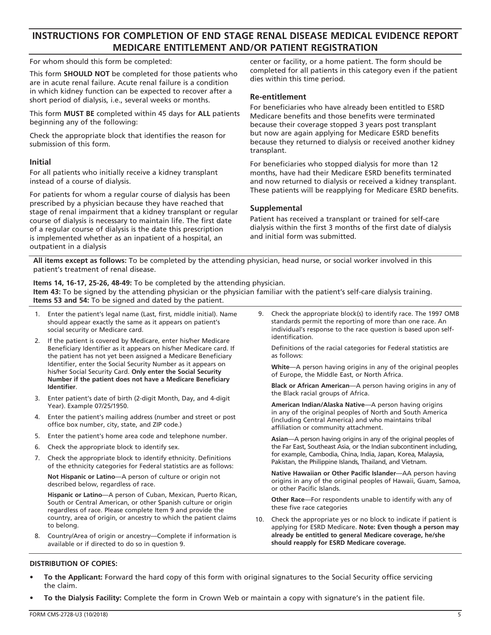# **INSTRUCTIONS FOR COMPLETION OF END STAGE RENAL DISEASE MEDICAL EVIDENCE REPORT MEDICARE ENTITLEMENT AND/OR PATIENT REGISTRATION**

For whom should this form be completed:

This form **SHOULD NOT** be completed for those patients who are in acute renal failure. Acute renal failure is a condition in which kidney function can be expected to recover after a short period of dialysis, i.e., several weeks or months.

This form **MUST BE** completed within 45 days for **ALL** patients beginning any of the following:

Check the appropriate block that identifies the reason for submission of this form.

### **Initial**

For all patients who initially receive a kidney transplant instead of a course of dialysis.

For patients for whom a regular course of dialysis has been prescribed by a physician because they have reached that stage of renal impairment that a kidney transplant or regular course of dialysis is necessary to maintain life. The first date of a regular course of dialysis is the date this prescription is implemented whether as an inpatient of a hospital, an outpatient in a dialysis

center or facility, or a home patient. The form should be completed for all patients in this category even if the patient dies within this time period.

### **Re-entitlement**

For beneficiaries who have already been entitled to ESRD Medicare benefits and those benefits were terminated because their coverage stopped 3 years post transplant but now are again applying for Medicare ESRD benefits because they returned to dialysis or received another kidney transplant.

For beneficiaries who stopped dialysis for more than 12 months, have had their Medicare ESRD benefits terminated and now returned to dialysis or received a kidney transplant. These patients will be reapplying for Medicare ESRD benefits.

### **Supplemental**

Patient has received a transplant or trained for self-care dialysis within the first 3 months of the first date of dialysis and initial form was submitted.

**All items except as follows:** To be completed by the attending physician, head nurse, or social worker involved in this patient's treatment of renal disease.

**Items 14, 16-17, 25-26, 48-49:** To be completed by the attending physician. **Item 43:** To be signed by the attending physician or the physician familiar with the patient's self-care dialysis training. **Items 53 and 54:** To be signed and dated by the patient.

- 1. Enter the patient's legal name (Last, first, middle initial). Name should appear exactly the same as it appears on patient's social security or Medicare card.
- 2. If the patient is covered by Medicare, enter his/her Medicare Beneficiary Identifier as it appears on his/her Medicare card. If the patient has not yet been assigned a Medicare Beneficiary Identifier, enter the Social Security Number as it appears on his/her Social Security Card. **Only enter the Social Security Number if the patient does not have a Medicare Beneficiary Identifier**.
- 3. Enter patient's date of birth (2-digit Month, Day, and 4-digit Year). Example 07/25/1950.
- 4. Enter the patient's mailing address (number and street or post office box number, city, state, and ZIP code.)
- 5. Enter the patient's home area code and telephone number.
- 6. Check the appropriate block to identify sex.
- 7. Check the appropriate block to identify ethnicity. Definitions of the ethnicity categories for Federal statistics are as follows: **Not Hispanic or Latino**—A person of culture or origin not described below, regardless of race.

**Hispanic or Latino**—A person of Cuban, Mexican, Puerto Rican, South or Central American, or other Spanish culture or origin regardless of race. Please complete Item 9 and provide the country, area of origin, or ancestry to which the patient claims to belong.

8. Country/Area of origin or ancestry—Complete if information is available or if directed to do so in question 9.

9. Check the appropriate block(s) to identify race. The 1997 OMB standards permit the reporting of more than one race. An individual's response to the race question is based upon selfidentification.

Definitions of the racial categories for Federal statistics are as follows:

**White**—A person having origins in any of the original peoples of Europe, the Middle East, or North Africa.

**Black or African American**—A person having origins in any of the Black racial groups of Africa.

**American Indian/Alaska Native**—A person having origins in any of the original peoples of North and South America (including Central America) and who maintains tribal affiliation or community attachment.

**Asian**—A person having origins in any of the original peoples of the Far East, Southeast Asia, or the Indian subcontinent including, for example, Cambodia, China, India, Japan, Korea, Malaysia, Pakistan, the Philippine Islands, Thailand, and Vietnam.

**Native Hawaiian or Other Pacific Islander**—AA person having origins in any of the original peoples of Hawaii, Guam, Samoa, or other Pacific Islands.

**Other Race**—For respondents unable to identify with any of these five race categories

10. Check the appropriate yes or no block to indicate if patient is applying for ESRD Medicare. **Note: Even though a person may already be entitled to general Medicare coverage, he/she should reapply for ESRD Medicare coverage.**

#### **DISTRIBUTION OF COPIES:**

- **• To the Applicant:** Forward the hard copy of this form with original signatures to the Social Security office servicing the claim.
- **• To the Dialysis Facility:** Complete the form in Crown Web or maintain a copy with signature's in the patient file.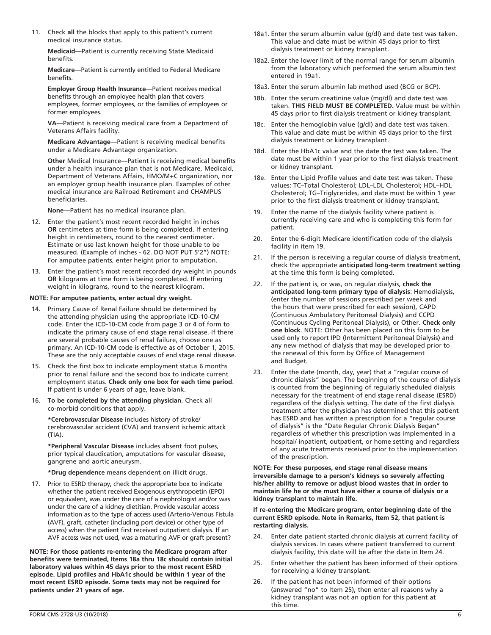11. Check **all** the blocks that apply to this patient's current medical insurance status.

**Medicaid**—Patient is currently receiving State Medicaid benefits.

**Medicare**—Patient is currently entitled to Federal Medicare benefits.

**Employer Group Health Insurance**—Patient receives medical benefits through an employee health plan that covers employees, former employees, or the families of employees or former employees.

**VA**—Patient is receiving medical care from a Department of Veterans Affairs facility.

**Medicare Advantage**—Patient is receiving medical benefits under a Medicare Advantage organization.

**Other** Medical Insurance—Patient is receiving medical benefits under a health insurance plan that is not Medicare, Medicaid, Department of Veterans Affairs, HMO/M+C organization, nor an employer group health insurance plan. Examples of other medical insurance are Railroad Retirement and CHAMPUS beneficiaries.

**None**—Patient has no medical insurance plan.

- 12. Enter the patient's most recent recorded height in inches **OR** centimeters at time form is being completed. If entering height in centimeters, round to the nearest centimeter. Estimate or use last known height for those unable to be measured. (Example of inches - 62. DO NOT PUT 5'2") NOTE: For amputee patients, enter height prior to amputation.
- 13. Enter the patient's most recent recorded dry weight in pounds **OR** kilograms at time form is being completed. If entering weight in kilograms, round to the nearest kilogram.

#### **NOTE: For amputee patients, enter actual dry weight.**

- 14. Primary Cause of Renal Failure should be determined by the attending physician using the appropriate ICD-10-CM code. Enter the ICD-10-CM code from page 3 or 4 of form to indicate the primary cause of end stage renal disease. If there are several probable causes of renal failure, choose one as primary. An ICD-10-CM code is effective as of October 1, 2015. These are the only acceptable causes of end stage renal disease.
- 15. Check the first box to indicate employment status 6 months prior to renal failure and the second box to indicate current employment status. **Check only one box for each time period**. If patient is under 6 years of age, leave blank.
- 16. **To be completed by the attending physician**. Check all co-morbid conditions that apply.

**\*Cerebrovascular Disease** includes history of stroke/ cerebrovascular accident (CVA) and transient ischemic attack (TIA).

**\*Peripheral Vascular Disease** includes absent foot pulses, prior typical claudication, amputations for vascular disease, gangrene and aortic aneurysm.

**\*Drug dependence** means dependent on illicit drugs.

17. Prior to ESRD therapy, check the appropriate box to indicate whether the patient received Exogenous erythropoetin (EPO) or equivalent, was under the care of a nephrologist and/or was under the care of a kidney dietitian. Provide vascular access information as to the type of access used (Arterio-Venous Fistula (AVF), graft, catheter (including port device) or other type of access) when the patient first received outpatient dialysis. If an AVF access was not used, was a maturing AVF or graft present?

**NOTE: For those patients re-entering the Medicare program after benefits were terminated, Items 18a thru 18c should contain initial laboratory values within 45 days prior to the most recent ESRD episode. Lipid profiles and HbA1c should be within 1 year of the most recent ESRD episode. Some tests may not be required for patients under 21 years of age.**

- 18a1. Enter the serum albumin value (g/dl) and date test was taken. This value and date must be within 45 days prior to first dialysis treatment or kidney transplant.
- 18a2. Enter the lower limit of the normal range for serum albumin from the laboratory which performed the serum albumin test entered in 19a1.
- 18a3. Enter the serum albumin lab method used (BCG or BCP).
- 18b. Enter the serum creatinine value (mg/dl) and date test was taken. **THIS FIELD MUST BE COMPLETED.** Value must be within 45 days prior to first dialysis treatment or kidney transplant.
- 18c. Enter the hemoglobin value (g/dl) and date test was taken. This value and date must be within 45 days prior to the first dialysis treatment or kidney transplant.
- 18d. Enter the HbA1c value and the date the test was taken. The date must be within 1 year prior to the first dialysis treatment or kidney transplant.
- 18e. Enter the Lipid Profile values and date test was taken. These values: TC–Total Cholesterol; LDL–LDL Cholesterol; HDL–HDL Cholesterol; TG–Triglycerides, and date must be within 1 year prior to the first dialysis treatment or kidney transplant.
- 19. Enter the name of the dialysis facility where patient is currently receiving care and who is completing this form for patient.
- 20. Enter the 6-digit Medicare identification code of the dialysis facility in item 19.
- 21. If the person is receiving a regular course of dialysis treatment, check the appropriate **anticipated long-term treatment setting** at the time this form is being completed.
- 22. If the patient is, or was, on regular dialysis, **check the anticipated long-term primary type of dialysis**: Hemodialysis, (enter the number of sessions prescribed per week and the hours that were prescribed for each session), CAPD (Continuous Ambulatory Peritoneal Dialysis) and CCPD (Continuous Cycling Peritoneal Dialysis), or Other. **Check only one block**. NOTE: Other has been placed on this form to be used only to report IPD (Intermittent Peritoneal Dialysis) and any new method of dialysis that may be developed prior to the renewal of this form by Office of Management and Budget.
- 23. Enter the date (month, day, year) that a "regular course of chronic dialysis" began. The beginning of the course of dialysis is counted from the beginning of regularly scheduled dialysis necessary for the treatment of end stage renal disease (ESRD) regardless of the dialysis setting. The date of the first dialysis treatment after the physician has determined that this patient has ESRD and has written a prescription for a "regular course of dialysis" is the "Date Regular Chronic Dialysis Began" regardless of whether this prescription was implemented in a hospital/ inpatient, outpatient, or home setting and regardless of any acute treatments received prior to the implementation of the prescription.

**NOTE: For these purposes, end stage renal disease means irreversible damage to a person's kidneys so severely affecting his/her ability to remove or adjust blood wastes that in order to maintain life he or she must have either a course of dialysis or a kidney transplant to maintain life.**

**If re-entering the Medicare program, enter beginning date of the current ESRD episode. Note in Remarks, Item 52, that patient is restarting dialysis.**

- 24. Enter date patient started chronic dialysis at current facility of dialysis services. In cases where patient transferred to current dialysis facility, this date will be after the date in Item 24.
- 25. Enter whether the patient has been informed of their options for receiving a kidney transplant.
- 26. If the patient has not been informed of their options (answered "no" to Item 25), then enter all reasons why a kidney transplant was not an option for this patient at this time.